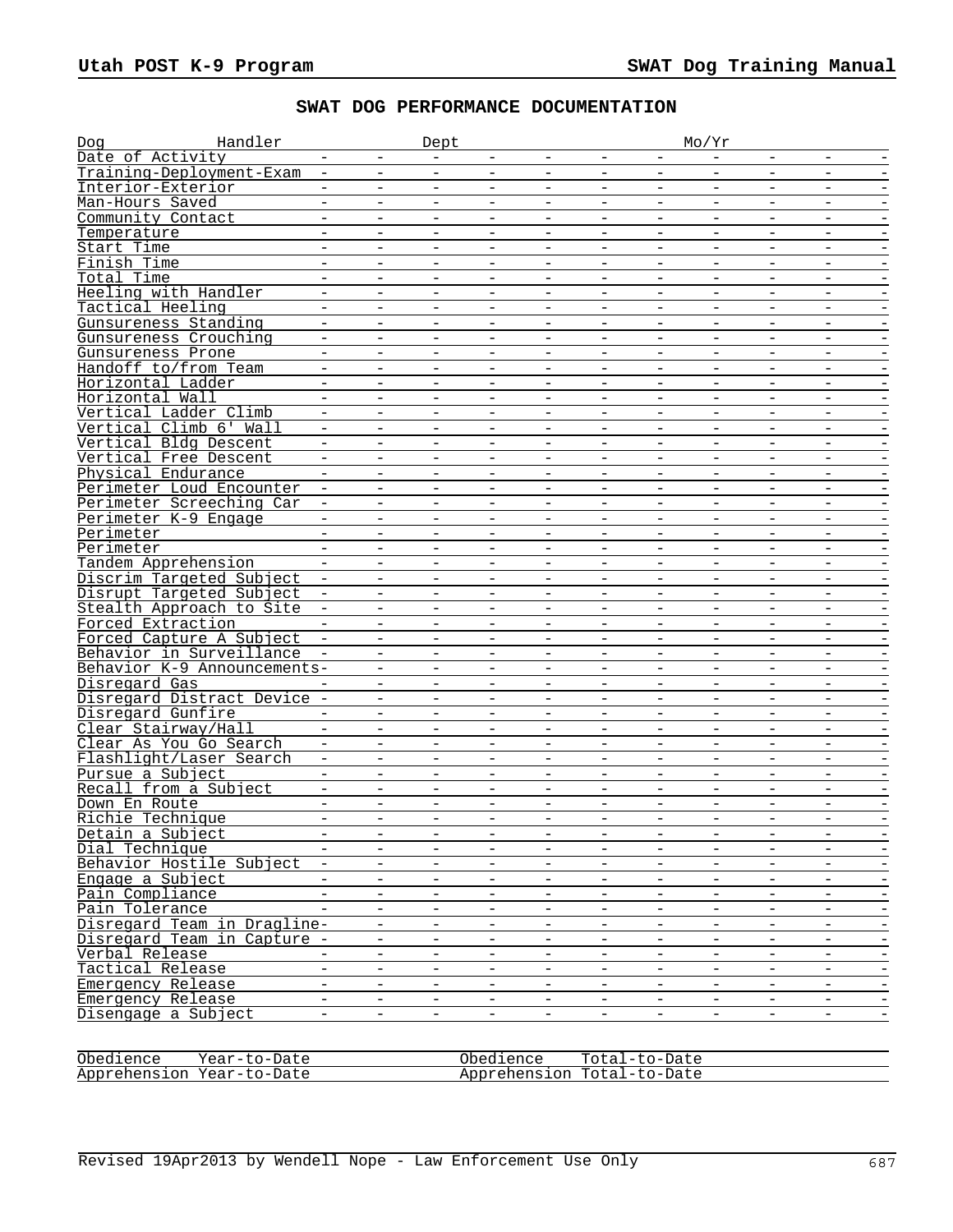## **SWAT DOG PERFORMANCE DOCUMENTATION**

| Handler<br>Dog              |                          |                          | Dept                     |                          |                          |                          |                          | Mo/Yr                    |                          |                          |                          |
|-----------------------------|--------------------------|--------------------------|--------------------------|--------------------------|--------------------------|--------------------------|--------------------------|--------------------------|--------------------------|--------------------------|--------------------------|
| Date of Activity            | $\qquad \qquad -$        | $-$                      | $\equiv$                 | $-$                      | $\overline{\phantom{m}}$ | $\overline{\phantom{m}}$ | $-$                      | $ \,$                    | $-$                      | $\overline{\phantom{m}}$ | $\overline{\phantom{a}}$ |
| Training-Deployment-Exam    | $\overline{\phantom{m}}$ | $\overline{\phantom{0}}$ | $\equiv$                 | $\overline{\phantom{a}}$ | $\equiv$                 | $\overline{\phantom{m}}$ | $\overline{\phantom{0}}$ | $\overline{\phantom{a}}$ | $\equiv$                 | $\overline{\phantom{a}}$ | $\overline{\phantom{m}}$ |
| Interior-Exterior           |                          | $-$                      | $\equiv$                 | $\overline{\phantom{0}}$ | $\overline{\phantom{0}}$ | $\overline{\phantom{0}}$ | ÷                        | $\equiv$                 | $-$                      | $\equiv$                 |                          |
| Man-Hours Saved             | $\overline{\phantom{m}}$ | $\qquad \qquad -$        | $\overline{\phantom{a}}$ | $\overline{\phantom{a}}$ | $\qquad \qquad -$        | $\overline{\phantom{m}}$ | $\qquad \qquad -$        | $\overline{\phantom{m}}$ | $\qquad \qquad -$        | $\overline{\phantom{a}}$ |                          |
| Community Contact           |                          |                          | $\equiv$                 |                          |                          |                          |                          |                          |                          |                          |                          |
| Temperature                 | $\equiv$                 | $\overline{\phantom{0}}$ | $\overline{\phantom{a}}$ | $\equiv$                 | $\overline{\phantom{0}}$ | $\overline{\phantom{m}}$ | $\overline{\phantom{a}}$ | $\equiv$                 | $\equiv$                 | $ \,$                    | $\overline{\phantom{m}}$ |
| Start Time                  | $\overline{\phantom{m}}$ | -                        | $\overline{\phantom{0}}$ | $\overline{\phantom{0}}$ | $\qquad \qquad -$        | $\overline{\phantom{a}}$ | $\qquad \qquad -$        | $\overline{\phantom{m}}$ | -                        | $-$                      |                          |
| Finish Time                 | $\equiv$                 | $\overline{\phantom{0}}$ | $\equiv$                 | $\overline{\phantom{a}}$ | $\overline{\phantom{0}}$ | $\overline{\phantom{0}}$ | ÷                        | $\overline{\phantom{a}}$ | $\overline{\phantom{0}}$ | $\equiv$                 |                          |
| Total Time                  | $\overline{\phantom{a}}$ | $\overline{\phantom{0}}$ | $\overline{\phantom{a}}$ | $\overline{\phantom{m}}$ | $\overline{\phantom{a}}$ | $\overline{\phantom{m}}$ | $\qquad \qquad -$        | $\overline{\phantom{a}}$ | $\overline{\phantom{0}}$ | $\overline{\phantom{a}}$ |                          |
| Heeling with Handler        | $\qquad \qquad -$        | $\qquad \qquad -$        | $\qquad \qquad -$        | $\overline{\phantom{m}}$ | $\overline{\phantom{m}}$ | $\overline{\phantom{m}}$ | -                        | $\overline{\phantom{m}}$ | $\qquad \qquad -$        | $\overline{\phantom{m}}$ | -                        |
| Tactical Heeling            | $\equiv$                 | $\equiv$                 | $\overline{\phantom{a}}$ | $\overline{\phantom{m}}$ | $\equiv$                 | $\overline{\phantom{a}}$ | $\overline{\phantom{a}}$ | $\equiv$                 | $-$                      | $\equiv$                 | $\overline{\phantom{a}}$ |
| Gunsureness Standing        | $\equiv$                 | $\overline{\phantom{0}}$ | $\overline{\phantom{a}}$ | $\overline{\phantom{0}}$ | $\overline{\phantom{0}}$ | $\overline{\phantom{0}}$ | $\overline{\phantom{0}}$ | $\overline{\phantom{a}}$ |                          | $\equiv$                 |                          |
| Gunsureness Crouching       |                          | $\overline{\phantom{a}}$ | $\overline{\phantom{a}}$ | $\overline{\phantom{0}}$ | $\overline{\phantom{a}}$ | $\overline{\phantom{a}}$ |                          | $\equiv$                 | $\overline{\phantom{0}}$ | $\overline{\phantom{a}}$ |                          |
| Gunsureness Prone           | $\overline{\phantom{a}}$ | $\overline{\phantom{a}}$ | $\overline{\phantom{a}}$ | $\overline{\phantom{m}}$ | $\qquad \qquad -$        | $\overline{\phantom{m}}$ | $\qquad \qquad -$        | $\overline{\phantom{m}}$ | $\qquad \qquad -$        | $-$                      | $\qquad \qquad -$        |
| Handoff to/from Team        | $\qquad \qquad -$        | $\overline{\phantom{0}}$ | $\overline{\phantom{m}}$ | $\qquad \qquad -$        | $\overline{\phantom{0}}$ | $\overline{\phantom{a}}$ | $\overline{\phantom{0}}$ | $\overline{\phantom{m}}$ | $\overline{\phantom{0}}$ | $\qquad \qquad -$        | $\overline{\phantom{m}}$ |
| Horizontal Ladder           | $\equiv$                 | $\equiv$                 | $\equiv$                 | $\equiv$                 | $\equiv$                 | $\equiv$                 | $\equiv$                 | $\equiv$                 | $\equiv$                 | $\equiv$                 |                          |
| Horizontal Wall             | $\overline{\phantom{a}}$ | $\qquad \qquad -$        | $\overline{\phantom{a}}$ | $\qquad \qquad -$        | $\overline{\phantom{a}}$ | $\qquad \qquad -$        | $\overline{\phantom{0}}$ | $\overline{\phantom{m}}$ | -                        | $\qquad \qquad -$        |                          |
| Vertical Ladder Climb       |                          |                          | $\qquad \qquad -$        |                          |                          |                          |                          | $\overline{\phantom{m}}$ |                          | $\qquad \qquad -$        |                          |
| Vertical Climb 6' Wall      | $\equiv$                 | $\overline{\phantom{a}}$ | $\overline{\phantom{m}}$ | $\equiv$                 | $\overline{\phantom{0}}$ | $\overline{\phantom{a}}$ | ÷                        | $\equiv$                 | $\qquad \qquad -$        | $\equiv$                 | $\overline{\phantom{m}}$ |
| Vertical Bldg Descent       | $\qquad \qquad -$        | $\qquad \qquad -$        | $\overline{\phantom{m}}$ | $\overline{\phantom{m}}$ | $\qquad \qquad -$        | $\overline{\phantom{m}}$ | $\qquad \qquad -$        | $-$                      | $\overline{\phantom{0}}$ | $\overline{\phantom{m}}$ | $\overline{\phantom{a}}$ |
| Vertical Free Descent       | $\equiv$                 | $\overline{\phantom{0}}$ | $\equiv$                 | $\overline{\phantom{0}}$ | $\overline{\phantom{0}}$ | $\equiv$                 | $\equiv$                 | $\equiv$                 | $-$                      | $\equiv$                 |                          |
| Physical Endurance          |                          | $\overline{\phantom{0}}$ | $\overline{\phantom{m}}$ | $\sim$                   | $\overline{\phantom{0}}$ | $\overline{\phantom{m}}$ | $\overline{\phantom{0}}$ | $\equiv$                 | $\overline{\phantom{0}}$ | $\equiv$                 |                          |
| Perimeter Loud Encounter    |                          |                          |                          |                          |                          |                          |                          |                          |                          |                          |                          |
| Perimeter Screeching Car    | $\equiv$                 | $\equiv$                 | $\overline{\phantom{a}}$ | $\qquad \qquad -$        | $\overline{\phantom{a}}$ | $\qquad \qquad -$        | $\overline{\phantom{a}}$ | $\overline{\phantom{a}}$ | $\qquad \qquad -$        | $\overline{\phantom{a}}$ | $\overline{\phantom{a}}$ |
| Perimeter K-9 Engage        | $-$                      | $\overline{\phantom{0}}$ | $\equiv$                 | $\overline{\phantom{a}}$ | $\overline{\phantom{0}}$ | $\overline{\phantom{m}}$ | ÷                        | $\overline{\phantom{a}}$ | $\overline{\phantom{0}}$ | $\equiv$                 |                          |
| Perimeter                   |                          | $\overline{\phantom{0}}$ | $\equiv$                 | $\overline{\phantom{a}}$ | $\equiv$                 | $\equiv$                 | $\overline{\phantom{0}}$ | $\equiv$                 | $\overline{\phantom{0}}$ | $\equiv$                 |                          |
| Perimeter                   |                          | $\overline{\phantom{a}}$ | $\overline{\phantom{a}}$ | $\overline{\phantom{m}}$ | $\overline{\phantom{a}}$ | $\overline{\phantom{m}}$ | $\qquad \qquad -$        | $\overline{\phantom{m}}$ | $\qquad \qquad -$        | $\overline{\phantom{a}}$ |                          |
| Tandem Apprehension         |                          |                          | $\equiv$                 |                          |                          |                          |                          | $\overline{\phantom{a}}$ |                          |                          |                          |
| Discrim Targeted Subject    | $\overline{\phantom{m}}$ | $\overline{\phantom{a}}$ | $\equiv$                 | $\qquad \qquad -$        | $\overline{\phantom{a}}$ | $\overline{\phantom{a}}$ | $\qquad \qquad -$        | $\sim$                   | $-$                      | $\overline{\phantom{m}}$ | $\overline{\phantom{m}}$ |
| Disrupt Targeted Subject    |                          | $\qquad \qquad -$        | $\overline{\phantom{m}}$ | $\overline{\phantom{a}}$ | $\qquad \qquad -$        | $\qquad \qquad -$        | $\overline{\phantom{a}}$ | $\overline{\phantom{m}}$ | $\qquad \qquad -$        | $\overline{\phantom{a}}$ |                          |
| Stealth Approach to Site    |                          | $\equiv$                 | $\equiv$                 | $\sim$                   | $\overline{\phantom{a}}$ | $\equiv$                 | $\equiv$                 | $\equiv$                 | $\sim$                   | $\equiv$                 |                          |
| Forced Extraction           | $\overline{\phantom{a}}$ | $\overline{\phantom{0}}$ | $\overline{\phantom{a}}$ | $\overline{\phantom{m}}$ | $\qquad \qquad -$        | $\overline{\phantom{m}}$ | $\qquad \qquad -$        | $\overline{\phantom{a}}$ | $\overline{\phantom{0}}$ | $-$                      | $\qquad \qquad -$        |
| Forced Capture A Subject    |                          | -                        | $\qquad \qquad -$        | $\overline{\phantom{m}}$ | $\overline{\phantom{m}}$ | $\overline{\phantom{m}}$ | -                        | $\overline{\phantom{m}}$ | $\overline{\phantom{m}}$ | $\overline{\phantom{m}}$ |                          |
| Behavior in Surveillance    | $\sim$                   | $\equiv$                 | $\equiv$                 | $\equiv$                 | $\equiv$                 | $\equiv$                 | $\equiv$                 | $\equiv$                 | $\equiv$                 | $\equiv$                 |                          |
| Behavior K-9 Announcements- |                          | $\qquad \qquad -$        | $\overline{\phantom{a}}$ | $\overline{\phantom{a}}$ | $\overline{\phantom{0}}$ | $\equiv$                 | $\overline{\phantom{0}}$ | $\overline{\phantom{a}}$ | $\overline{\phantom{0}}$ | $\overline{\phantom{m}}$ |                          |
| Disregard Gas               |                          | $\qquad \qquad -$        | $\overline{\phantom{m}}$ | $\overline{\phantom{a}}$ | $\overline{\phantom{a}}$ | $\qquad \qquad -$        |                          | $\overline{\phantom{m}}$ | $\overline{\phantom{0}}$ | $\overline{\phantom{m}}$ |                          |
| Disregard Distract Device - |                          | $\qquad \qquad -$        | $\overline{\phantom{m}}$ | $\overline{\phantom{a}}$ | $\overline{\phantom{a}}$ | $\qquad \qquad -$        | $\overline{\phantom{0}}$ | $\equiv$                 | $\overline{\phantom{a}}$ | $\equiv$                 | $\qquad \qquad -$        |
| Disregard Gunfire           | $\overline{\phantom{0}}$ | $\overline{\phantom{0}}$ | $\overline{\phantom{m}}$ | $\overline{\phantom{a}}$ | $\equiv$                 | $\overline{\phantom{m}}$ | $\overline{\phantom{0}}$ | $\overline{\phantom{m}}$ | $\overline{\phantom{0}}$ | $\overline{\phantom{a}}$ | $\overline{\phantom{0}}$ |
| Clear Stairway/Hall         | $-$                      | $\overline{\phantom{0}}$ | $\overline{\phantom{a}}$ | $\equiv$                 | $\overline{\phantom{0}}$ | $\overline{\phantom{0}}$ | ÷                        | $\equiv$                 | $\overline{\phantom{0}}$ | $\equiv$                 |                          |
| Clear As You Go Search      | $\overline{\phantom{m}}$ | $\overline{\phantom{a}}$ | $\overline{\phantom{a}}$ | $\qquad \qquad -$        | $\equiv$                 | $\qquad \qquad =$        | $\overline{\phantom{a}}$ | $\overline{\phantom{m}}$ | $\qquad \qquad -$        | $\equiv$                 |                          |
| Flashlight/Laser Search     |                          | $\qquad \qquad -$        | $\qquad \qquad -$        |                          | $\overline{\phantom{a}}$ |                          |                          | $\equiv$                 | $\qquad \qquad -$        | $\qquad \qquad -$        |                          |
| Pursue a Subject            | $\sim$                   | $-$                      | $\overline{\phantom{m}}$ | $\qquad \qquad -$        | $\qquad \qquad -$        | $\qquad \qquad -$        | $\overline{\phantom{a}}$ | $\equiv$                 | $\qquad \qquad -$        | $\overline{\phantom{a}}$ | $\overline{\phantom{m}}$ |
| Recall from a Subject       | $\overline{\phantom{a}}$ | $\overline{\phantom{0}}$ | $\overline{\phantom{a}}$ | $\overline{\phantom{m}}$ | $\qquad \qquad -$        | $\qquad \qquad -$        | $\overline{\phantom{0}}$ | $\overline{\phantom{m}}$ | $-$                      | $\overline{\phantom{a}}$ |                          |
| Down En Route               | $\equiv$                 | $\overline{\phantom{0}}$ | $\equiv$                 | $\overline{\phantom{0}}$ | $\equiv$                 | $\equiv$                 | $\overline{\phantom{0}}$ | $\equiv$                 | $-$                      | $\equiv$                 |                          |
| Richie Technique            | $\equiv$                 | $\qquad \qquad -$        | $\overline{\phantom{m}}$ | $\overline{\phantom{0}}$ | -                        | $\overline{\phantom{a}}$ | $\overline{\phantom{0}}$ | $\overline{\phantom{m}}$ | $\overline{\phantom{0}}$ | $\equiv$                 |                          |
| Detain a Subject            |                          |                          |                          |                          |                          |                          |                          |                          |                          |                          |                          |
| Dial Technique              | $\sim$                   | $\qquad \qquad -$        | $\overline{\phantom{m}}$ | $\qquad \qquad -$        | $\qquad \qquad -$        | $-$                      | $\qquad \qquad -$        | $-$                      | $-$                      | $\overline{\phantom{a}}$ | $\overline{\phantom{m}}$ |
| Behavior Hostile Subject    |                          | $\overline{\phantom{0}}$ | -                        |                          | $\overline{\phantom{0}}$ | $\qquad \qquad -$        | $\qquad \qquad -$        | $\overline{\phantom{m}}$ | $\overline{\phantom{0}}$ | $\qquad \qquad -$        |                          |
| Engage a Subject            | $\overline{\phantom{a}}$ | -                        | $\overline{\phantom{a}}$ | $\overline{\phantom{m}}$ | $\qquad \qquad -$        | $\qquad \qquad -$        | $\overline{\phantom{0}}$ | $\overline{\phantom{a}}$ | -                        | $\equiv$                 |                          |
| Pain Compliance             | $\overline{\phantom{a}}$ | $\overline{\phantom{a}}$ | $\equiv$                 | $\overline{\phantom{a}}$ | $\overline{\phantom{a}}$ | $\overline{\phantom{a}}$ | $\qquad \qquad -$        | $\equiv$                 | $\equiv$                 | $\equiv$                 | $\qquad \qquad -$        |
| Pain Tolerance              |                          | -                        | $\overline{\phantom{a}}$ | $\overline{\phantom{m}}$ | $\qquad \qquad -$        | $\overline{\phantom{m}}$ | -                        | $\overline{\phantom{a}}$ | $\qquad \qquad -$        | $\overline{\phantom{a}}$ | $\qquad \qquad -$        |
| Disregard Team in Dragline- |                          | $-$                      | $\equiv$                 | $\overline{\phantom{a}}$ | $\equiv$                 | $\equiv$                 | $ \,$                    | $\equiv$                 | $\equiv$                 | $\blacksquare$           | $\overline{\phantom{a}}$ |
| Disregard Team in Capture - |                          | $\qquad \qquad -$        | $\overline{\phantom{a}}$ | $\overline{\phantom{m}}$ | $\qquad \qquad -$        | $\overline{\phantom{a}}$ | $\qquad \qquad -$        | $\overline{\phantom{a}}$ | -                        | $\equiv$                 | $\overline{\phantom{0}}$ |
| Verbal Release              |                          | $\equiv$                 | $\equiv$                 | $\overline{\phantom{a}}$ | $\overline{\phantom{0}}$ | $\overline{\phantom{0}}$ | $\equiv$                 | $\equiv$                 | $\overline{\phantom{a}}$ | $\equiv$                 |                          |
| Tactical Release            | $-$                      | $\overline{\phantom{0}}$ | $\overline{\phantom{a}}$ | $\equiv$                 | $\qquad \qquad -$        | $\overline{\phantom{a}}$ | $\qquad \qquad -$        | $\overline{\phantom{a}}$ | $-$                      | $\equiv$                 | $\overline{\phantom{m}}$ |
| Emergency Release           | $-$                      | $\qquad \qquad -$        | $\overline{\phantom{m}}$ | $\qquad \qquad -$        | $\qquad \qquad -$        | $\qquad \qquad -$        | -                        | $\overline{\phantom{m}}$ | $\qquad \qquad -$        | $-$                      | $\equiv$                 |
| Emergency Release           | $\equiv$                 | $\equiv$                 | $\equiv$                 | $\equiv$                 | $\equiv$                 | $\equiv$                 | $\equiv$                 | $\equiv$                 | $\equiv$                 | $\equiv$                 | $\qquad \qquad -$        |
| Disengage a Subject         | $\overline{\phantom{a}}$ | $\qquad \qquad -$        | $\qquad \qquad -$        | $\qquad \qquad -$        | $\qquad \qquad -$        | $\overline{\phantom{m}}$ | $\overline{\phantom{0}}$ | $\equiv$                 | $\qquad \qquad -$        | $-$                      | -                        |
|                             |                          |                          |                          |                          |                          |                          |                          |                          |                          |                          |                          |

| Obedience | Year-to-Date              | Obedience | Total-to-Date              |
|-----------|---------------------------|-----------|----------------------------|
|           | Apprehension Year-to-Date |           | Apprehension Total-to-Date |